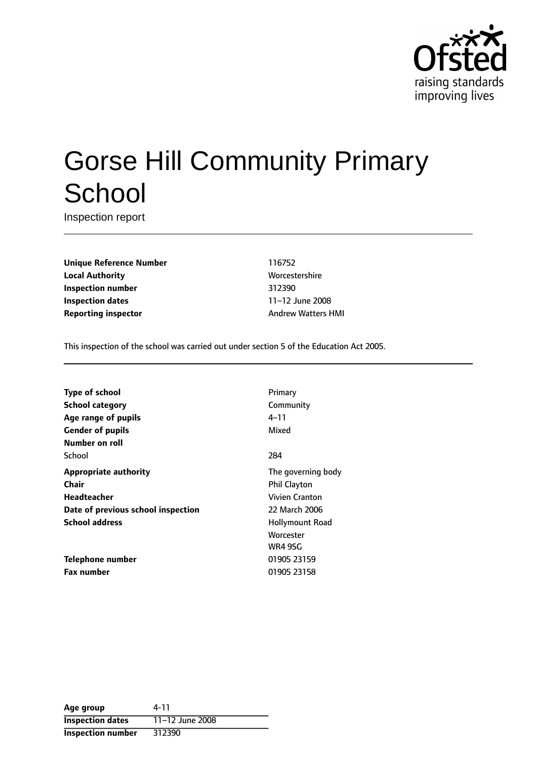

# Gorse Hill Community Primary **School**

Inspection report

**Unique Reference Number** 116752 **Local Authority More** Worcestershire **Inspection number** 312390 **Inspection dates** 11-12 June 2008 **Reporting inspector** Andrew Watters HMI

This inspection of the school was carried out under section 5 of the Education Act 2005.

| <b>Type of school</b>              | Primary               |
|------------------------------------|-----------------------|
| School category                    | Community             |
| Age range of pupils                | 4–11                  |
| <b>Gender of pupils</b>            | Mixed                 |
| Number on roll                     |                       |
| School                             | 284                   |
| <b>Appropriate authority</b>       | The governing body    |
| Chair                              | <b>Phil Clayton</b>   |
| <b>Headteacher</b>                 | <b>Vivien Cranton</b> |
| Date of previous school inspection | 22 March 2006         |
| <b>School address</b>              | Hollymount Road       |
|                                    | Worcester             |
|                                    | <b>WR4 9SG</b>        |
| Telephone number                   | 01905 23159           |
| <b>Fax number</b>                  | 01905 23158           |

| Age group                | 4-11            |
|--------------------------|-----------------|
| <b>Inspection dates</b>  | 11-12 June 2008 |
| <b>Inspection number</b> | 312390          |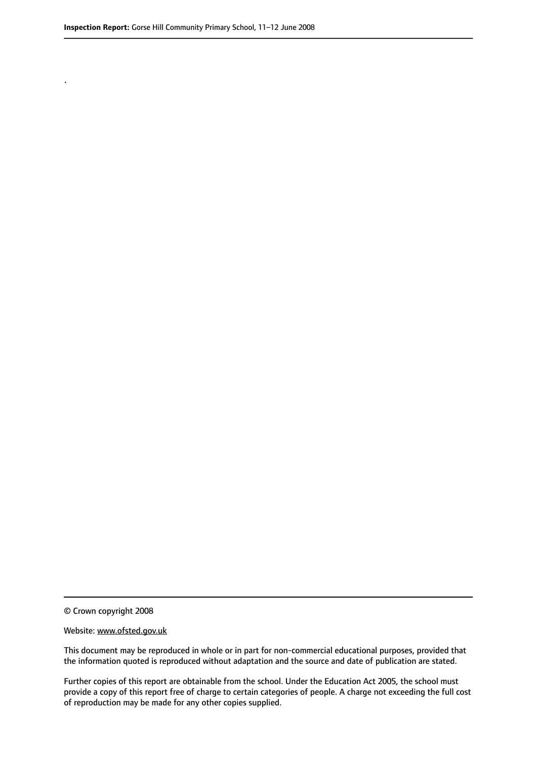.

© Crown copyright 2008

#### Website: www.ofsted.gov.uk

This document may be reproduced in whole or in part for non-commercial educational purposes, provided that the information quoted is reproduced without adaptation and the source and date of publication are stated.

Further copies of this report are obtainable from the school. Under the Education Act 2005, the school must provide a copy of this report free of charge to certain categories of people. A charge not exceeding the full cost of reproduction may be made for any other copies supplied.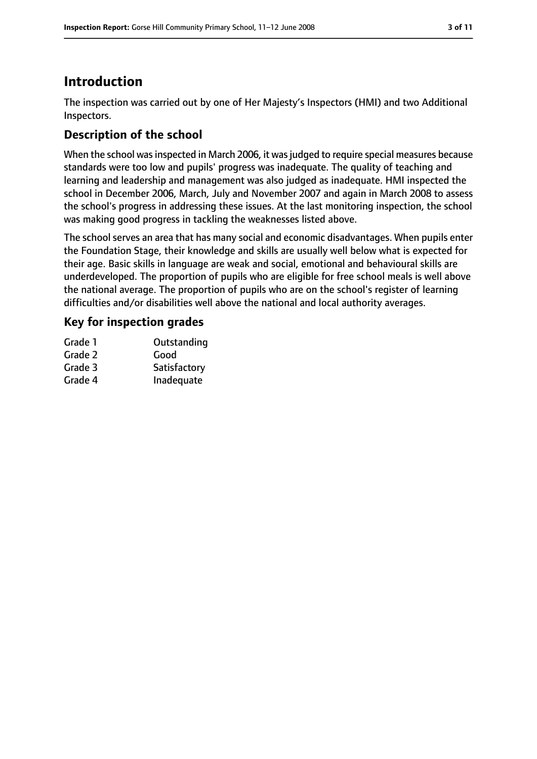# **Introduction**

The inspection was carried out by one of Her Majesty's Inspectors (HMI) and two Additional Inspectors.

# **Description of the school**

When the school was inspected in March 2006, it was judged to require special measures because standards were too low and pupils' progress was inadequate. The quality of teaching and learning and leadership and management was also judged as inadequate. HMI inspected the school in December 2006, March, July and November 2007 and again in March 2008 to assess the school's progress in addressing these issues. At the last monitoring inspection, the school was making good progress in tackling the weaknesses listed above.

The school serves an area that has many social and economic disadvantages. When pupils enter the Foundation Stage, their knowledge and skills are usually well below what is expected for their age. Basic skills in language are weak and social, emotional and behavioural skills are underdeveloped. The proportion of pupils who are eligible for free school meals is well above the national average. The proportion of pupils who are on the school's register of learning difficulties and/or disabilities well above the national and local authority averages.

### **Key for inspection grades**

| Grade 1 | Outstanding  |
|---------|--------------|
| Grade 2 | Good         |
| Grade 3 | Satisfactory |
| Grade 4 | Inadequate   |
|         |              |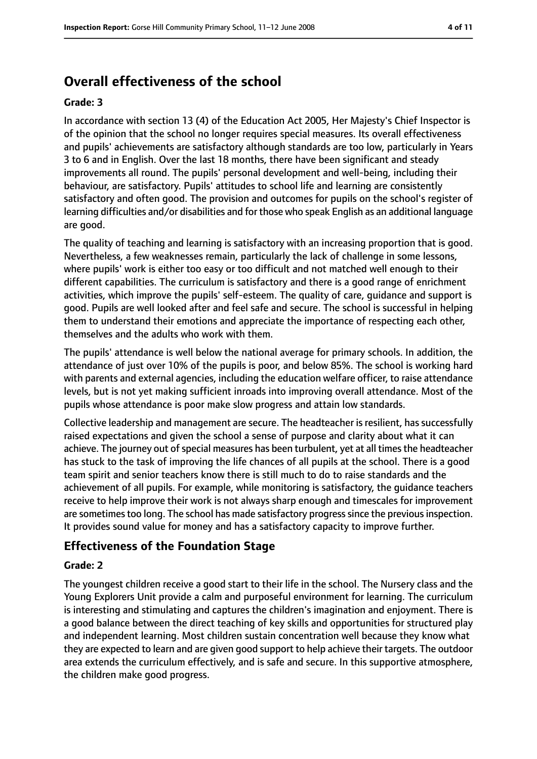# **Overall effectiveness of the school**

#### **Grade: 3**

In accordance with section 13 (4) of the Education Act 2005, Her Majesty's Chief Inspector is of the opinion that the school no longer requires special measures. Its overall effectiveness and pupils' achievements are satisfactory although standards are too low, particularly in Years 3 to 6 and in English. Over the last 18 months, there have been significant and steady improvements all round. The pupils' personal development and well-being, including their behaviour, are satisfactory. Pupils' attitudes to school life and learning are consistently satisfactory and often good. The provision and outcomes for pupils on the school's register of learning difficulties and/or disabilities and for those who speak English as an additional language are good.

The quality of teaching and learning is satisfactory with an increasing proportion that is good. Nevertheless, a few weaknesses remain, particularly the lack of challenge in some lessons, where pupils' work is either too easy or too difficult and not matched well enough to their different capabilities. The curriculum is satisfactory and there is a good range of enrichment activities, which improve the pupils' self-esteem. The quality of care, guidance and support is good. Pupils are well looked after and feel safe and secure. The school is successful in helping them to understand their emotions and appreciate the importance of respecting each other, themselves and the adults who work with them.

The pupils' attendance is well below the national average for primary schools. In addition, the attendance of just over 10% of the pupils is poor, and below 85%. The school is working hard with parents and external agencies, including the education welfare officer, to raise attendance levels, but is not yet making sufficient inroads into improving overall attendance. Most of the pupils whose attendance is poor make slow progress and attain low standards.

Collective leadership and management are secure. The headteacher is resilient, has successfully raised expectations and given the school a sense of purpose and clarity about what it can achieve. The journey out of special measures has been turbulent, yet at all times the headteacher has stuck to the task of improving the life chances of all pupils at the school. There is a good team spirit and senior teachers know there is still much to do to raise standards and the achievement of all pupils. For example, while monitoring is satisfactory, the guidance teachers receive to help improve their work is not always sharp enough and timescales for improvement are sometimes too long. The school has made satisfactory progress since the previous inspection. It provides sound value for money and has a satisfactory capacity to improve further.

#### **Effectiveness of the Foundation Stage**

#### **Grade: 2**

The youngest children receive a good start to their life in the school. The Nursery class and the Young Explorers Unit provide a calm and purposeful environment for learning. The curriculum is interesting and stimulating and captures the children's imagination and enjoyment. There is a good balance between the direct teaching of key skills and opportunities for structured play and independent learning. Most children sustain concentration well because they know what they are expected to learn and are given good support to help achieve their targets. The outdoor area extends the curriculum effectively, and is safe and secure. In this supportive atmosphere, the children make good progress.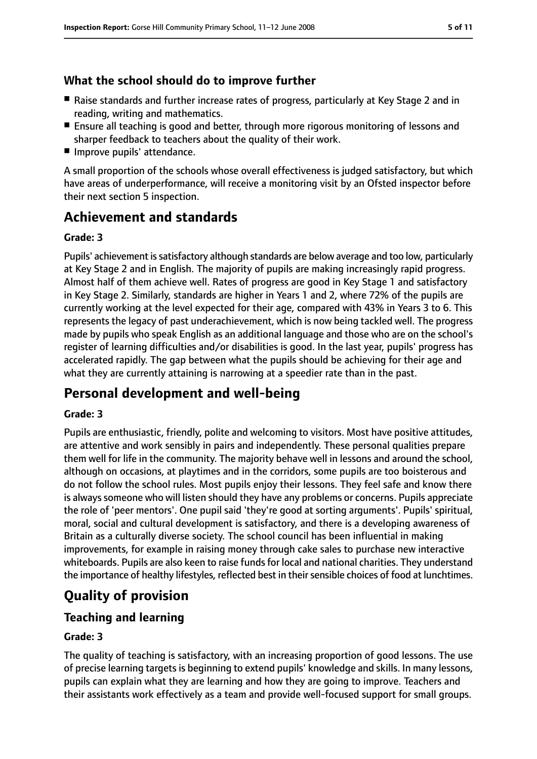### **What the school should do to improve further**

- Raise standards and further increase rates of progress, particularly at Key Stage 2 and in reading, writing and mathematics.
- Ensure all teaching is good and better, through more rigorous monitoring of lessons and sharper feedback to teachers about the quality of their work.
- Improve pupils' attendance.

A small proportion of the schools whose overall effectiveness is judged satisfactory, but which have areas of underperformance, will receive a monitoring visit by an Ofsted inspector before their next section 5 inspection.

# **Achievement and standards**

#### **Grade: 3**

Pupils' achievement is satisfactory although standards are below average and too low, particularly at Key Stage 2 and in English. The majority of pupils are making increasingly rapid progress. Almost half of them achieve well. Rates of progress are good in Key Stage 1 and satisfactory in Key Stage 2. Similarly, standards are higher in Years 1 and 2, where 72% of the pupils are currently working at the level expected for their age, compared with 43% in Years 3 to 6. This represents the legacy of past underachievement, which is now being tackled well. The progress made by pupils who speak English as an additional language and those who are on the school's register of learning difficulties and/or disabilities is good. In the last year, pupils' progress has accelerated rapidly. The gap between what the pupils should be achieving for their age and what they are currently attaining is narrowing at a speedier rate than in the past.

# **Personal development and well-being**

#### **Grade: 3**

Pupils are enthusiastic, friendly, polite and welcoming to visitors. Most have positive attitudes, are attentive and work sensibly in pairs and independently. These personal qualities prepare them well for life in the community. The majority behave well in lessons and around the school, although on occasions, at playtimes and in the corridors, some pupils are too boisterous and do not follow the school rules. Most pupils enjoy their lessons. They feel safe and know there is always someone who will listen should they have any problems or concerns. Pupils appreciate the role of 'peer mentors'. One pupil said 'they're good at sorting arguments'. Pupils' spiritual, moral, social and cultural development is satisfactory, and there is a developing awareness of Britain as a culturally diverse society. The school council has been influential in making improvements, for example in raising money through cake sales to purchase new interactive whiteboards. Pupils are also keen to raise funds for local and national charities. They understand the importance of healthy lifestyles, reflected best in their sensible choices of food at lunchtimes.

# **Quality of provision**

### **Teaching and learning**

#### **Grade: 3**

The quality of teaching is satisfactory, with an increasing proportion of good lessons. The use of precise learning targets is beginning to extend pupils' knowledge and skills. In many lessons, pupils can explain what they are learning and how they are going to improve. Teachers and their assistants work effectively as a team and provide well-focused support for small groups.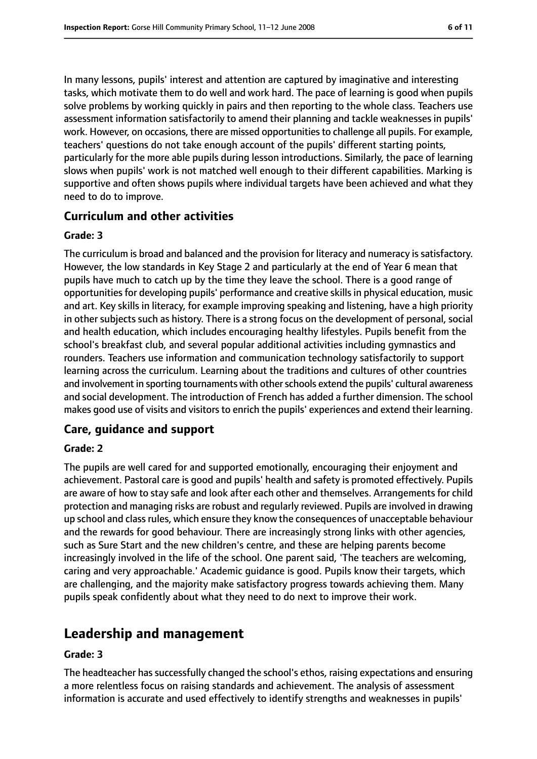In many lessons, pupils' interest and attention are captured by imaginative and interesting tasks, which motivate them to do well and work hard. The pace of learning is good when pupils solve problems by working quickly in pairs and then reporting to the whole class. Teachers use assessment information satisfactorily to amend their planning and tackle weaknesses in pupils' work. However, on occasions, there are missed opportunities to challenge all pupils. For example, teachers' questions do not take enough account of the pupils' different starting points, particularly for the more able pupils during lesson introductions. Similarly, the pace of learning slows when pupils' work is not matched well enough to their different capabilities. Marking is supportive and often shows pupils where individual targets have been achieved and what they need to do to improve.

#### **Curriculum and other activities**

#### **Grade: 3**

The curriculum is broad and balanced and the provision for literacy and numeracy is satisfactory. However, the low standards in Key Stage 2 and particularly at the end of Year 6 mean that pupils have much to catch up by the time they leave the school. There is a good range of opportunities for developing pupils' performance and creative skills in physical education, music and art. Key skills in literacy, for example improving speaking and listening, have a high priority in other subjects such as history. There is a strong focus on the development of personal, social and health education, which includes encouraging healthy lifestyles. Pupils benefit from the school's breakfast club, and several popular additional activities including gymnastics and rounders. Teachers use information and communication technology satisfactorily to support learning across the curriculum. Learning about the traditions and cultures of other countries and involvement in sporting tournaments with other schools extend the pupils' cultural awareness and social development. The introduction of French has added a further dimension. The school makes good use of visits and visitors to enrich the pupils' experiences and extend their learning.

#### **Care, guidance and support**

#### **Grade: 2**

The pupils are well cared for and supported emotionally, encouraging their enjoyment and achievement. Pastoral care is good and pupils' health and safety is promoted effectively. Pupils are aware of how to stay safe and look after each other and themselves. Arrangements for child protection and managing risks are robust and regularly reviewed. Pupils are involved in drawing up school and classrules, which ensure they know the consequences of unacceptable behaviour and the rewards for good behaviour. There are increasingly strong links with other agencies, such as Sure Start and the new children's centre, and these are helping parents become increasingly involved in the life of the school. One parent said, 'The teachers are welcoming, caring and very approachable.' Academic guidance is good. Pupils know their targets, which are challenging, and the majority make satisfactory progress towards achieving them. Many pupils speak confidently about what they need to do next to improve their work.

# **Leadership and management**

#### **Grade: 3**

The headteacher hassuccessfully changed the school's ethos, raising expectations and ensuring a more relentless focus on raising standards and achievement. The analysis of assessment information is accurate and used effectively to identify strengths and weaknesses in pupils'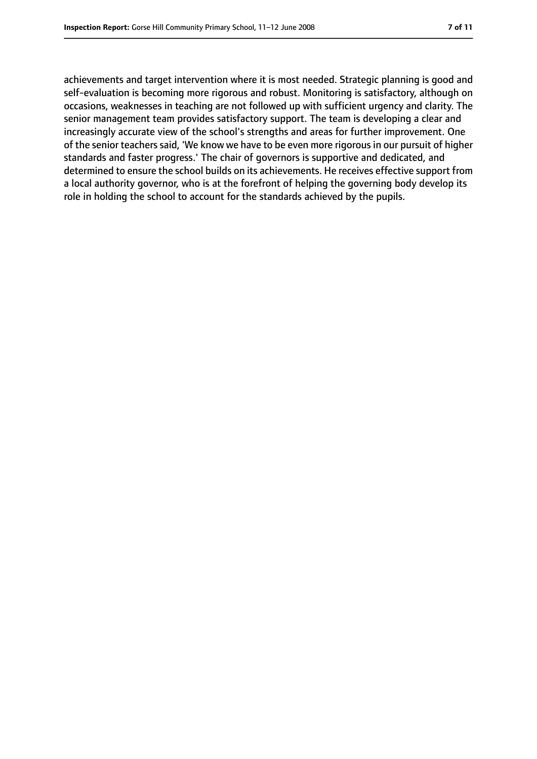achievements and target intervention where it is most needed. Strategic planning is good and self-evaluation is becoming more rigorous and robust. Monitoring is satisfactory, although on occasions, weaknesses in teaching are not followed up with sufficient urgency and clarity. The senior management team provides satisfactory support. The team is developing a clear and increasingly accurate view of the school's strengths and areas for further improvement. One of the senior teachers said, 'We know we have to be even more rigorous in our pursuit of higher standards and faster progress.' The chair of governors is supportive and dedicated, and determined to ensure the school builds on its achievements. He receives effective support from a local authority governor, who is at the forefront of helping the governing body develop its role in holding the school to account for the standards achieved by the pupils.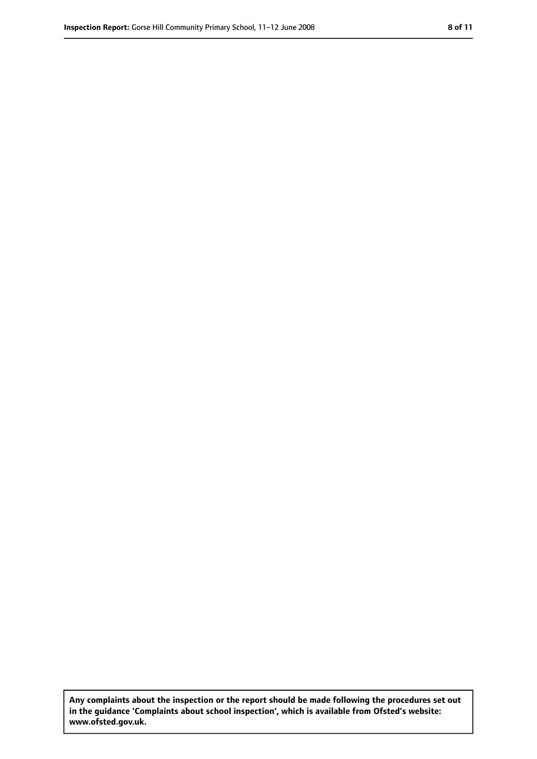**Any complaints about the inspection or the report should be made following the procedures set out in the guidance 'Complaints about school inspection', which is available from Ofsted's website: www.ofsted.gov.uk.**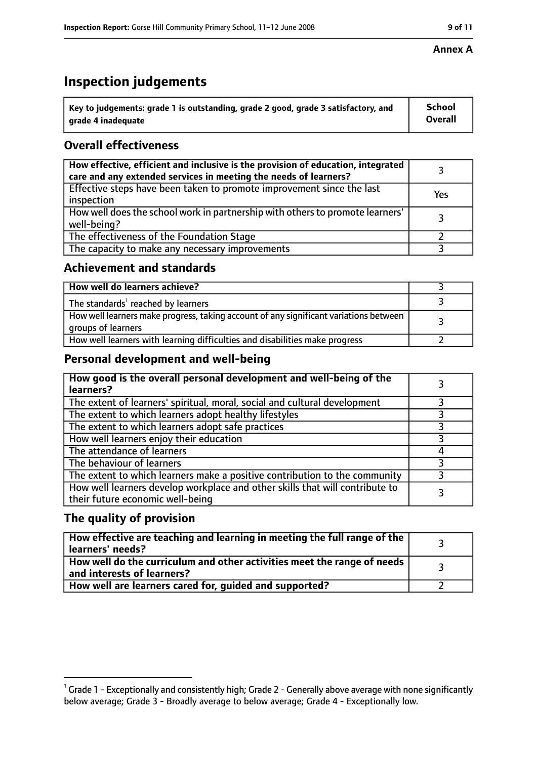# **Inspection judgements**

| $^{\backprime}$ Key to judgements: grade 1 is outstanding, grade 2 good, grade 3 satisfactory, and | <b>School</b>  |
|----------------------------------------------------------------------------------------------------|----------------|
| arade 4 inadeguate                                                                                 | <b>Overall</b> |

## **Overall effectiveness**

| How effective, efficient and inclusive is the provision of education, integrated<br>care and any extended services in meeting the needs of learners? |     |
|------------------------------------------------------------------------------------------------------------------------------------------------------|-----|
| Effective steps have been taken to promote improvement since the last<br>inspection                                                                  | Yes |
| How well does the school work in partnership with others to promote learners'<br>well-being?                                                         |     |
| The effectiveness of the Foundation Stage                                                                                                            |     |
| The capacity to make any necessary improvements                                                                                                      |     |

#### **Achievement and standards**

| How well do learners achieve?                                                                               |  |
|-------------------------------------------------------------------------------------------------------------|--|
| The standards <sup>1</sup> reached by learners                                                              |  |
| How well learners make progress, taking account of any significant variations between<br>groups of learners |  |
| How well learners with learning difficulties and disabilities make progress                                 |  |

### **Personal development and well-being**

| How good is the overall personal development and well-being of the<br>learners?                                  |  |
|------------------------------------------------------------------------------------------------------------------|--|
| The extent of learners' spiritual, moral, social and cultural development                                        |  |
| The extent to which learners adopt healthy lifestyles                                                            |  |
| The extent to which learners adopt safe practices                                                                |  |
| How well learners enjoy their education                                                                          |  |
| The attendance of learners                                                                                       |  |
| The behaviour of learners                                                                                        |  |
| The extent to which learners make a positive contribution to the community                                       |  |
| How well learners develop workplace and other skills that will contribute to<br>their future economic well-being |  |

### **The quality of provision**

| How effective are teaching and learning in meeting the full range of the<br>learners' needs?          |  |
|-------------------------------------------------------------------------------------------------------|--|
| How well do the curriculum and other activities meet the range of needs<br>and interests of learners? |  |
| How well are learners cared for, guided and supported?                                                |  |

#### **Annex A**

 $^1$  Grade 1 - Exceptionally and consistently high; Grade 2 - Generally above average with none significantly below average; Grade 3 - Broadly average to below average; Grade 4 - Exceptionally low.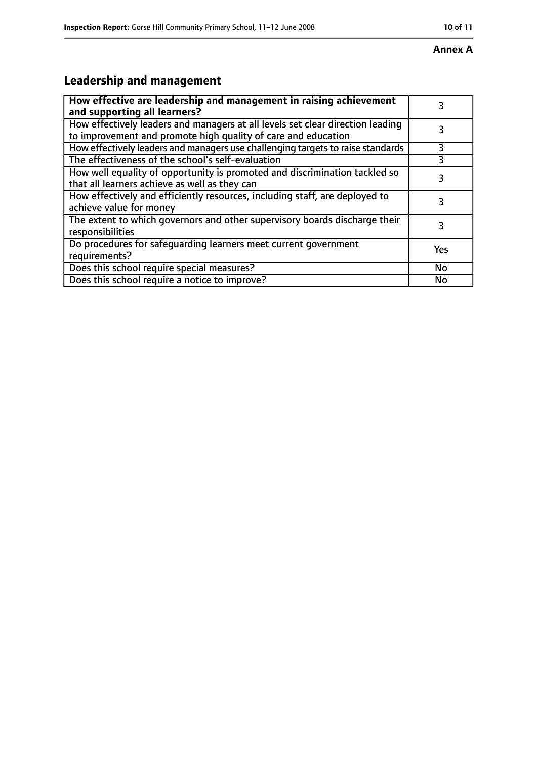#### **Annex A**

# **Leadership and management**

| How effective are leadership and management in raising achievement<br>and supporting all learners?                                              | 3         |
|-------------------------------------------------------------------------------------------------------------------------------------------------|-----------|
| How effectively leaders and managers at all levels set clear direction leading<br>to improvement and promote high quality of care and education |           |
| How effectively leaders and managers use challenging targets to raise standards                                                                 | 3         |
| The effectiveness of the school's self-evaluation                                                                                               | 3         |
| How well equality of opportunity is promoted and discrimination tackled so<br>that all learners achieve as well as they can                     | 3         |
| How effectively and efficiently resources, including staff, are deployed to<br>achieve value for money                                          | 3         |
| The extent to which governors and other supervisory boards discharge their<br>responsibilities                                                  | 3         |
| Do procedures for safequarding learners meet current government<br>requirements?                                                                | Yes       |
| Does this school require special measures?                                                                                                      | <b>No</b> |
| Does this school require a notice to improve?                                                                                                   | No        |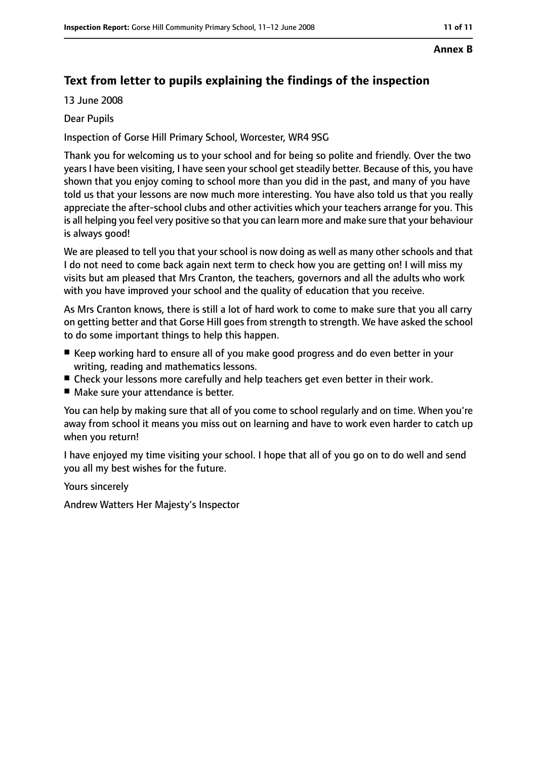# **Text from letter to pupils explaining the findings of the inspection**

13 June 2008

#### Dear Pupils

Inspection of Gorse Hill Primary School, Worcester, WR4 9SG

Thank you for welcoming us to your school and for being so polite and friendly. Over the two years I have been visiting, I have seen your school get steadily better. Because of this, you have shown that you enjoy coming to school more than you did in the past, and many of you have told us that your lessons are now much more interesting. You have also told us that you really appreciate the after-school clubs and other activities which your teachers arrange for you. This is all helping you feel very positive so that you can learn more and make sure that your behaviour is always good!

We are pleased to tell you that your school is now doing as well as many other schools and that I do not need to come back again next term to check how you are getting on! I will miss my visits but am pleased that Mrs Cranton, the teachers, governors and all the adults who work with you have improved your school and the quality of education that you receive.

As Mrs Cranton knows, there is still a lot of hard work to come to make sure that you all carry on getting better and that Gorse Hill goes from strength to strength. We have asked the school to do some important things to help this happen.

- Keep working hard to ensure all of you make good progress and do even better in your writing, reading and mathematics lessons.
- Check your lessons more carefully and help teachers get even better in their work.
- Make sure your attendance is better.

You can help by making sure that all of you come to school regularly and on time. When you're away from school it means you miss out on learning and have to work even harder to catch up when you return!

I have enjoyed my time visiting your school. I hope that all of you go on to do well and send you all my best wishes for the future.

Yours sincerely

Andrew Watters Her Majesty's Inspector